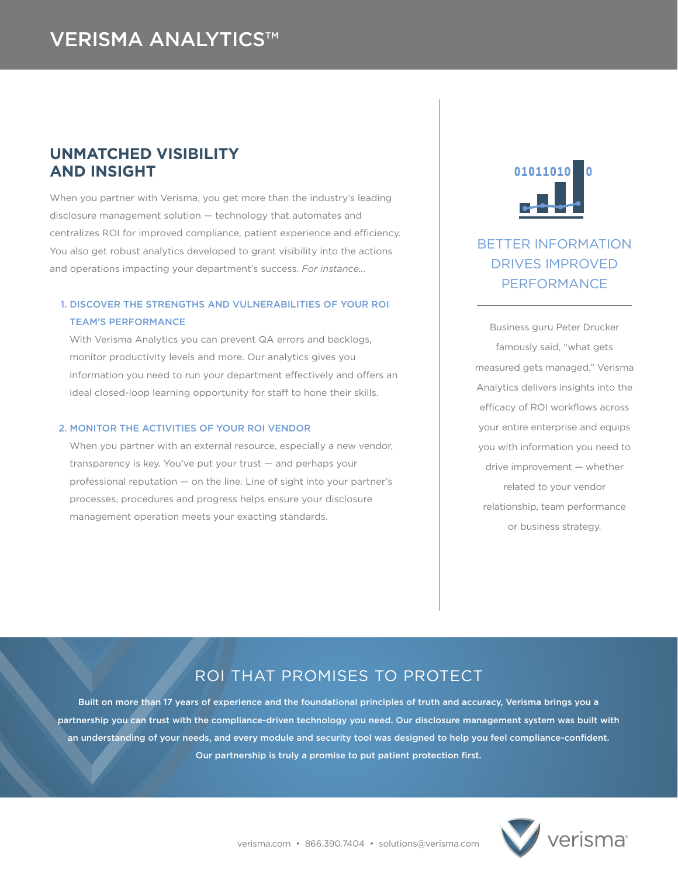## **UNMATCHED VISIBILITY AND INSIGHT**

When you partner with Verisma, you get more than the industry's leading disclosure management solution — technology that automates and centralizes ROI for improved compliance, patient experience and efficiency. You also get robust analytics developed to grant visibility into the actions and operations impacting your department's success. *For instance...*

## 1. DISCOVER THE STRENGTHS AND VULNERABILITIES OF YOUR ROI TEAM'S PERFORMANCE

With Verisma Analytics you can prevent QA errors and backlogs, monitor productivity levels and more. Our analytics gives you information you need to run your department effectively and offers an ideal closed-loop learning opportunity for staff to hone their skills.

### 2. MONITOR THE ACTIVITIES OF YOUR ROI VENDOR

When you partner with an external resource, especially a new vendor, transparency is key. You've put your trust — and perhaps your professional reputation — on the line. Line of sight into your partner's processes, procedures and progress helps ensure your disclosure management operation meets your exacting standards.



# BETTER INFORMATION DRIVES IMPROVED PERFORMANCE

Business guru Peter Drucker famously said, "what gets measured gets managed." Verisma Analytics delivers insights into the efficacy of ROI workflows across your entire enterprise and equips you with information you need to drive improvement — whether related to your vendor relationship, team performance or business strategy.

# ROI THAT PROMISES TO PROTECT

Built on more than 17 years of experience and the foundational principles of truth and accuracy, Verisma brings you a partnership you can trust with the compliance-driven technology you need. Our disclosure management system was built with an understanding of your needs, and every module and security tool was designed to help you feel compliance-confident. Our partnership is truly a promise to put patient protection first.